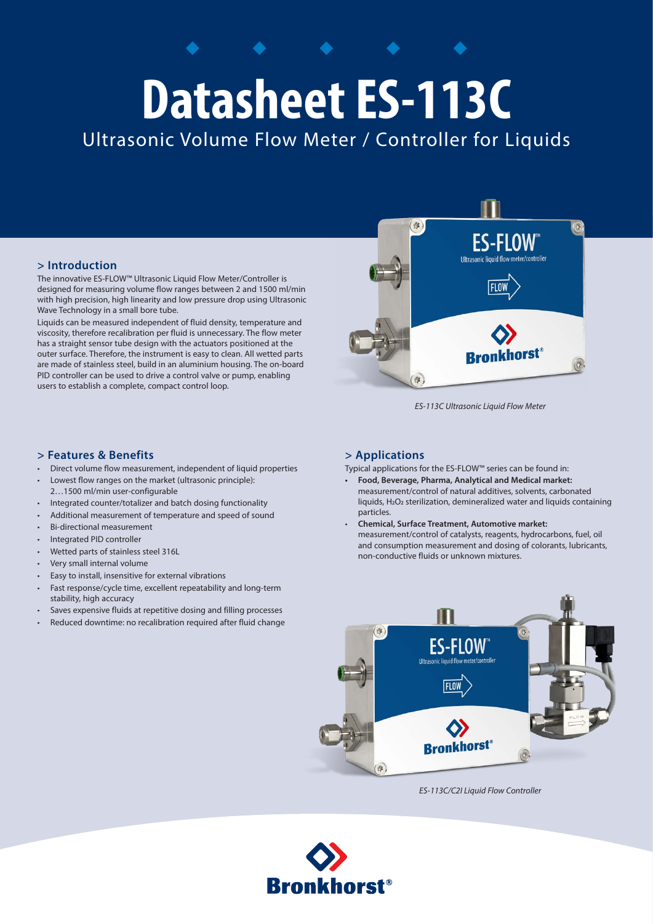# **Datasheet ES-113C**

Ultrasonic Volume Flow Meter / Controller for Liquids

## **> Introduction**

The innovative ES-FLOW™ Ultrasonic Liquid Flow Meter/Controller is designed for measuring volume flow ranges between 2 and 1500 ml/min with high precision, high linearity and low pressure drop using Ultrasonic Wave Technology in a small bore tube.

Liquids can be measured independent of fluid density, temperature and viscosity, therefore recalibration per fluid is unnecessary. The flow meter has a straight sensor tube design with the actuators positioned at the outer surface. Therefore, the instrument is easy to clean. All wetted parts are made of stainless steel, build in an aluminium housing. The on-board PID controller can be used to drive a control valve or pump, enabling users to establish a complete, compact control loop.



*ES-113C Ultrasonic Liquid Flow Meter*

## **> Features & Benefits**

- Direct volume flow measurement, independent of liquid properties
- Lowest flow ranges on the market (ultrasonic principle): 2…1500 ml/min user-configurable
- Integrated counter/totalizer and batch dosing functionality
- Additional measurement of temperature and speed of sound
- Bi-directional measurement
- Integrated PID controller
- Wetted parts of stainless steel 316L
- Very small internal volume
- Easy to install, insensitive for external vibrations
- Fast response/cycle time, excellent repeatability and long-term stability, high accuracy
- Saves expensive fluids at repetitive dosing and filling processes
- Reduced downtime: no recalibration required after fluid change

## **> Applications**

Typical applications for the ES-FLOW™ series can be found in:

- **Food, Beverage, Pharma, Analytical and Medical market:**  measurement/control of natural additives, solvents, carbonated liquids, H2O2 sterilization, demineralized water and liquids containing particles.
- **Chemical, Surface Treatment, Automotive market:** measurement/control of catalysts, reagents, hydrocarbons, fuel, oil and consumption measurement and dosing of colorants, lubricants, non-conductive fluids or unknown mixtures.



*ES-113C/C2I Liquid Flow Controller*